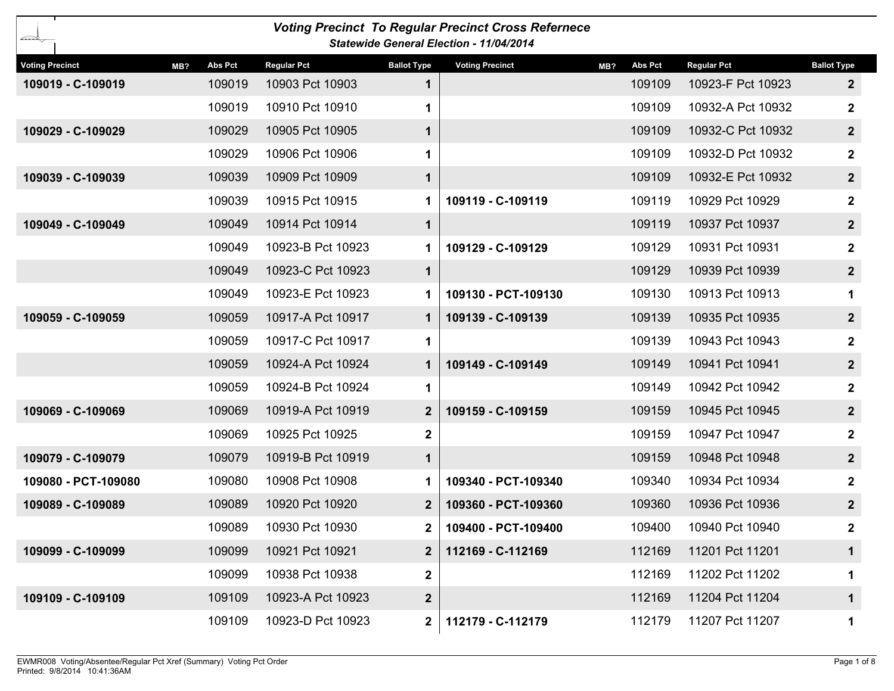| <b>Voting Precinct To Regular Precinct Cross Refernece</b><br><b>Statewide General Election - 11/04/2014</b> |         |                    |                    |                        |                |                    |                         |  |  |  |  |  |
|--------------------------------------------------------------------------------------------------------------|---------|--------------------|--------------------|------------------------|----------------|--------------------|-------------------------|--|--|--|--|--|
| <b>Voting Precinct</b><br>MB?                                                                                | Abs Pct | <b>Regular Pct</b> | <b>Ballot Type</b> | <b>Voting Precinct</b> | Abs Pct<br>MB? | <b>Regular Pct</b> | <b>Ballot Type</b>      |  |  |  |  |  |
| 109019 - C-109019                                                                                            | 109019  | 10903 Pct 10903    | $\mathbf 1$        |                        | 109109         | 10923-F Pct 10923  | $\overline{2}$          |  |  |  |  |  |
|                                                                                                              | 109019  | 10910 Pct 10910    | 1                  |                        | 109109         | 10932-A Pct 10932  | $\boldsymbol{2}$        |  |  |  |  |  |
| 109029 - C-109029                                                                                            | 109029  | 10905 Pct 10905    | $\mathbf 1$        |                        | 109109         | 10932-C Pct 10932  | $\overline{\mathbf{2}}$ |  |  |  |  |  |
|                                                                                                              | 109029  | 10906 Pct 10906    | 1                  |                        | 109109         | 10932-D Pct 10932  | $\mathbf{2}$            |  |  |  |  |  |
| 109039 - C-109039                                                                                            | 109039  | 10909 Pct 10909    | $\mathbf 1$        |                        | 109109         | 10932-E Pct 10932  | $\overline{\mathbf{2}}$ |  |  |  |  |  |
|                                                                                                              | 109039  | 10915 Pct 10915    | 1                  | 109119 - C-109119      | 109119         | 10929 Pct 10929    | $\mathbf{2}$            |  |  |  |  |  |
| 109049 - C-109049                                                                                            | 109049  | 10914 Pct 10914    | $\mathbf 1$        |                        | 109119         | 10937 Pct 10937    | $\overline{\mathbf{2}}$ |  |  |  |  |  |
|                                                                                                              | 109049  | 10923-B Pct 10923  | 1                  | 109129 - C-109129      | 109129         | 10931 Pct 10931    | $\boldsymbol{2}$        |  |  |  |  |  |
|                                                                                                              | 109049  | 10923-C Pct 10923  | $\mathbf 1$        |                        | 109129         | 10939 Pct 10939    | $\overline{2}$          |  |  |  |  |  |
|                                                                                                              | 109049  | 10923-E Pct 10923  | 1                  | 109130 - PCT-109130    | 109130         | 10913 Pct 10913    | 1                       |  |  |  |  |  |
| 109059 - C-109059                                                                                            | 109059  | 10917-A Pct 10917  | 1                  | 109139 - C-109139      | 109139         | 10935 Pct 10935    | 2 <sub>2</sub>          |  |  |  |  |  |
|                                                                                                              | 109059  | 10917-C Pct 10917  | 1                  |                        | 109139         | 10943 Pct 10943    | $\mathbf 2$             |  |  |  |  |  |
|                                                                                                              | 109059  | 10924-A Pct 10924  | 1                  | 109149 - C-109149      | 109149         | 10941 Pct 10941    | $\overline{2}$          |  |  |  |  |  |
|                                                                                                              | 109059  | 10924-B Pct 10924  | $\mathbf 1$        |                        | 109149         | 10942 Pct 10942    | $\mathbf{2}$            |  |  |  |  |  |
| 109069 - C-109069                                                                                            | 109069  | 10919-A Pct 10919  | $\mathbf{2}$       | 109159 - C-109159      | 109159         | 10945 Pct 10945    | $\overline{2}$          |  |  |  |  |  |
|                                                                                                              | 109069  | 10925 Pct 10925    | $\mathbf 2$        |                        | 109159         | 10947 Pct 10947    | $\mathbf{2}$            |  |  |  |  |  |
| 109079 - C-109079                                                                                            | 109079  | 10919-B Pct 10919  | $\mathbf 1$        |                        | 109159         | 10948 Pct 10948    | $\overline{2}$          |  |  |  |  |  |
| 109080 - PCT-109080                                                                                          | 109080  | 10908 Pct 10908    | 1                  | 109340 - PCT-109340    | 109340         | 10934 Pct 10934    | $\mathbf{2}$            |  |  |  |  |  |
| 109089 - C-109089                                                                                            | 109089  | 10920 Pct 10920    | $\mathbf{2}$       | 109360 - PCT-109360    | 109360         | 10936 Pct 10936    | $\overline{2}$          |  |  |  |  |  |
|                                                                                                              | 109089  | 10930 Pct 10930    |                    | 109400 - PCT-109400    | 109400         | 10940 Pct 10940    | 2                       |  |  |  |  |  |
| 109099 - C-109099                                                                                            | 109099  | 10921 Pct 10921    | $\mathbf{2}$       | 112169 - C-112169      | 112169         | 11201 Pct 11201    | 1                       |  |  |  |  |  |
|                                                                                                              | 109099  | 10938 Pct 10938    | $\mathbf 2$        |                        | 112169         | 11202 Pct 11202    | 1                       |  |  |  |  |  |
| 109109 - C-109109                                                                                            | 109109  | 10923-A Pct 10923  | $\boldsymbol{2}$   |                        | 112169         | 11204 Pct 11204    | $\mathbf 1$             |  |  |  |  |  |
|                                                                                                              | 109109  | 10923-D Pct 10923  | $\mathbf{2}$       | 112179 - C-112179      | 112179         | 11207 Pct 11207    | 1                       |  |  |  |  |  |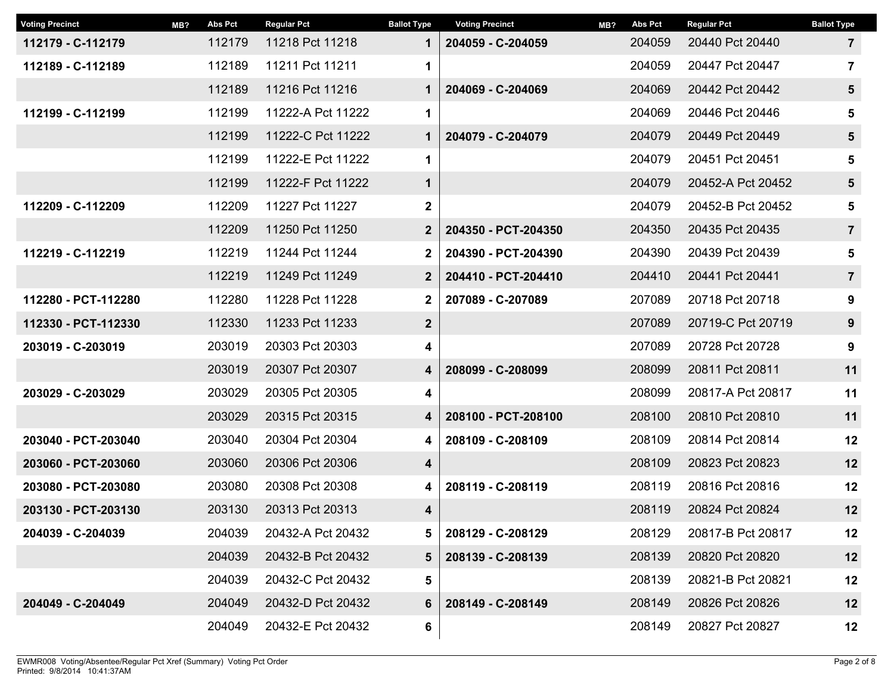| MB? | <b>Abs Pct</b> | <b>Regular Pct</b> | <b>Ballot Type</b>                           | <b>Voting Precinct</b> | MB? | <b>Abs Pct</b> | <b>Regular Pct</b> | <b>Ballot Type</b> |
|-----|----------------|--------------------|----------------------------------------------|------------------------|-----|----------------|--------------------|--------------------|
|     | 112179         | 11218 Pct 11218    | $\mathbf 1$<br>204059 - C-204059             |                        |     | 204059         | 20440 Pct 20440    | $\overline{7}$     |
|     | 112189         | 11211 Pct 11211    | 1                                            |                        |     | 204059         | 20447 Pct 20447    | $\overline{7}$     |
|     | 112189         | 11216 Pct 11216    | 1                                            | 204069 - C-204069      |     | 204069         | 20442 Pct 20442    | $5\phantom{1}$     |
|     | 112199         | 11222-A Pct 11222  | 1                                            |                        |     | 204069         | 20446 Pct 20446    | 5                  |
|     | 112199         | 11222-C Pct 11222  | $\mathbf 1$                                  | 204079 - C-204079      |     | 204079         | 20449 Pct 20449    | $5\phantom{1}$     |
|     | 112199         | 11222-E Pct 11222  | 1                                            |                        |     | 204079         | 20451 Pct 20451    | 5                  |
|     | 112199         | 11222-F Pct 11222  | 1                                            |                        |     | 204079         | 20452-A Pct 20452  | $5\phantom{1}$     |
|     | 112209         | 11227 Pct 11227    | $\mathbf 2$                                  |                        |     | 204079         | 20452-B Pct 20452  | 5                  |
|     | 112209         | 11250 Pct 11250    | $\overline{2}$                               | 204350 - PCT-204350    |     | 204350         | 20435 Pct 20435    | $\overline{7}$     |
|     | 112219         | 11244 Pct 11244    | 2                                            | 204390 - PCT-204390    |     | 204390         | 20439 Pct 20439    | $5\phantom{1}$     |
|     | 112219         | 11249 Pct 11249    | $\mathbf 2$                                  | 204410 - PCT-204410    |     | 204410         | 20441 Pct 20441    | $\overline{7}$     |
|     | 112280         | 11228 Pct 11228    | $\overline{\mathbf{2}}$<br>207089 - C-207089 |                        |     | 207089         | 20718 Pct 20718    | 9                  |
|     | 112330         | 11233 Pct 11233    | $\boldsymbol{2}$                             |                        |     | 207089         | 20719-C Pct 20719  | 9                  |
|     | 203019         | 20303 Pct 20303    | 4                                            |                        |     | 207089         | 20728 Pct 20728    | 9                  |
|     | 203019         | 20307 Pct 20307    | 4                                            | 208099 - C-208099      |     | 208099         | 20811 Pct 20811    | 11                 |
|     | 203029         | 20305 Pct 20305    | 4                                            |                        |     | 208099         | 20817-A Pct 20817  | 11                 |
|     | 203029         | 20315 Pct 20315    | 4                                            | 208100 - PCT-208100    |     | 208100         | 20810 Pct 20810    | 11                 |
|     | 203040         | 20304 Pct 20304    | 4                                            | 208109 - C-208109      |     | 208109         | 20814 Pct 20814    | 12                 |
|     | 203060         | 20306 Pct 20306    | 4                                            |                        |     | 208109         | 20823 Pct 20823    | 12                 |
|     | 203080         | 20308 Pct 20308    | 4                                            | 208119 - C-208119      |     | 208119         | 20816 Pct 20816    | 12                 |
|     | 203130         | 20313 Pct 20313    | $\overline{\mathbf{4}}$                      |                        |     | 208119         | 20824 Pct 20824    | 12                 |
|     | 204039         | 20432-A Pct 20432  | 5                                            | 208129 - C-208129      |     | 208129         | 20817-B Pct 20817  | 12                 |
|     | 204039         | 20432-B Pct 20432  | 5                                            | 208139 - C-208139      |     | 208139         | 20820 Pct 20820    | 12                 |
|     | 204039         | 20432-C Pct 20432  | 5                                            |                        |     | 208139         | 20821-B Pct 20821  | 12                 |
|     | 204049         | 20432-D Pct 20432  | 6                                            | 208149 - C-208149      |     | 208149         | 20826 Pct 20826    | 12                 |
|     | 204049         | 20432-E Pct 20432  | 6                                            |                        |     | 208149         | 20827 Pct 20827    | 12                 |
|     |                |                    |                                              |                        |     |                |                    |                    |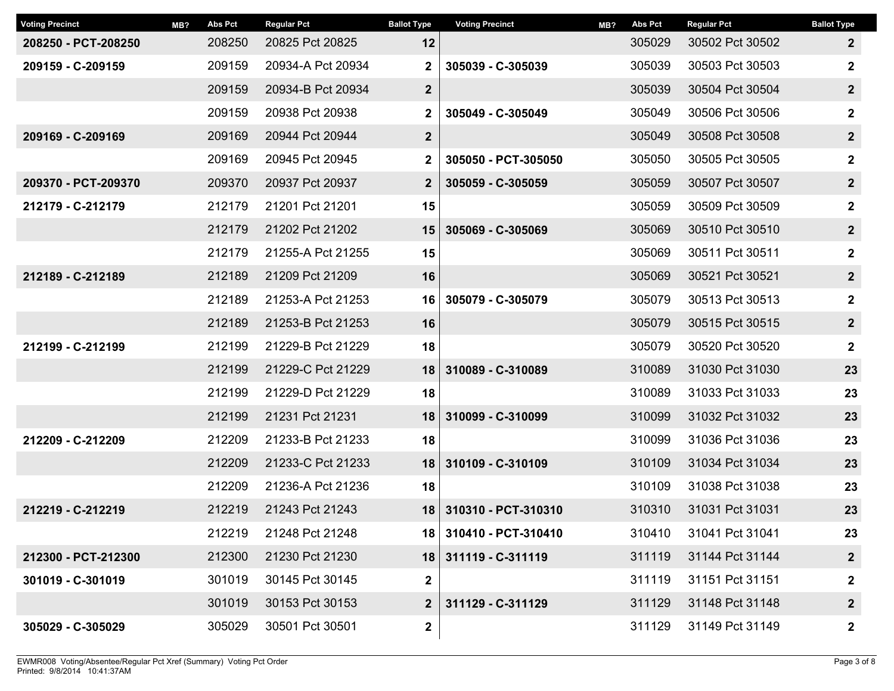| MB? | <b>Abs Pct</b> | <b>Regular Pct</b> | <b>Ballot Type</b> | <b>Voting Precinct</b> | MB?                     | <b>Abs Pct</b> | <b>Regular Pct</b> | <b>Ballot Type</b> |
|-----|----------------|--------------------|--------------------|------------------------|-------------------------|----------------|--------------------|--------------------|
|     | 208250         | 20825 Pct 20825    | 12                 |                        |                         | 305029         | 30502 Pct 30502    | $\overline{2}$     |
|     | 209159         | 20934-A Pct 20934  | $\mathbf 2$        | 305039 - C-305039      |                         | 305039         | 30503 Pct 30503    | $\mathbf{2}$       |
|     | 209159         | 20934-B Pct 20934  | $\mathbf{2}$       |                        |                         | 305039         | 30504 Pct 30504    | $\overline{2}$     |
|     | 209159         | 20938 Pct 20938    | $\mathbf 2$        | 305049 - C-305049      |                         | 305049         | 30506 Pct 30506    | $\boldsymbol{2}$   |
|     | 209169         | 20944 Pct 20944    | $\boldsymbol{2}$   |                        |                         | 305049         | 30508 Pct 30508    | $\boldsymbol{2}$   |
|     | 209169         | 20945 Pct 20945    | $\mathbf 2$        | 305050 - PCT-305050    |                         | 305050         | 30505 Pct 30505    | $\mathbf{2}$       |
|     | 209370         | 20937 Pct 20937    | $\mathbf{2}$       | 305059 - C-305059      |                         | 305059         | 30507 Pct 30507    | $\mathbf{2}$       |
|     | 212179         | 21201 Pct 21201    | 15                 |                        |                         | 305059         | 30509 Pct 30509    | $\boldsymbol{2}$   |
|     | 212179         | 21202 Pct 21202    | 15                 | 305069 - C-305069      |                         | 305069         | 30510 Pct 30510    | $\mathbf{2}$       |
|     | 212179         | 21255-A Pct 21255  | 15                 |                        |                         | 305069         | 30511 Pct 30511    | $\mathbf{2}$       |
|     | 212189         | 21209 Pct 21209    | 16                 |                        |                         | 305069         | 30521 Pct 30521    | $\mathbf{2}$       |
|     | 212189         | 21253-A Pct 21253  | 16                 | 305079 - C-305079      |                         | 305079         | 30513 Pct 30513    | $\mathbf{2}$       |
|     | 212189         | 21253-B Pct 21253  | 16                 |                        |                         | 305079         | 30515 Pct 30515    | $\mathbf{2}$       |
|     | 212199         | 21229-B Pct 21229  | 18                 |                        |                         | 305079         | 30520 Pct 30520    | $\mathbf{2}$       |
|     | 212199         | 21229-C Pct 21229  | 18                 | 310089 - C-310089      |                         | 310089         | 31030 Pct 31030    | 23                 |
|     | 212199         | 21229-D Pct 21229  | 18                 |                        |                         | 310089         | 31033 Pct 31033    | 23                 |
|     | 212199         | 21231 Pct 21231    | 18                 | 310099 - C-310099      |                         | 310099         | 31032 Pct 31032    | 23                 |
|     | 212209         | 21233-B Pct 21233  | 18                 |                        |                         | 310099         | 31036 Pct 31036    | 23                 |
|     | 212209         | 21233-C Pct 21233  | 18                 | 310109 - C-310109      |                         | 310109         | 31034 Pct 31034    | 23                 |
|     | 212209         | 21236-A Pct 21236  | 18                 |                        |                         | 310109         | 31038 Pct 31038    | 23                 |
|     | 212219         | 21243 Pct 21243    | 18                 | 310310 - PCT-310310    |                         | 310310         | 31031 Pct 31031    | 23                 |
|     | 212219         | 21248 Pct 21248    |                    | 310410 - PCT-310410    |                         | 310410         | 31041 Pct 31041    | 23                 |
|     | 212300         | 21230 Pct 21230    |                    | 311119 - C-311119      |                         | 311119         | 31144 Pct 31144    | $\mathbf{2}$       |
|     | 301019         | 30145 Pct 30145    | $\mathbf 2$        |                        |                         | 311119         | 31151 Pct 31151    | $\boldsymbol{2}$   |
|     | 301019         | 30153 Pct 30153    | $\mathbf{2}$       | 311129 - C-311129      |                         | 311129         | 31148 Pct 31148    | $\mathbf{2}$       |
|     | 305029         | 30501 Pct 30501    | $\mathbf 2$        |                        |                         | 311129         | 31149 Pct 31149    | $\mathbf{2}$       |
|     |                |                    |                    |                        | 18 I<br>18 <sup>1</sup> |                |                    |                    |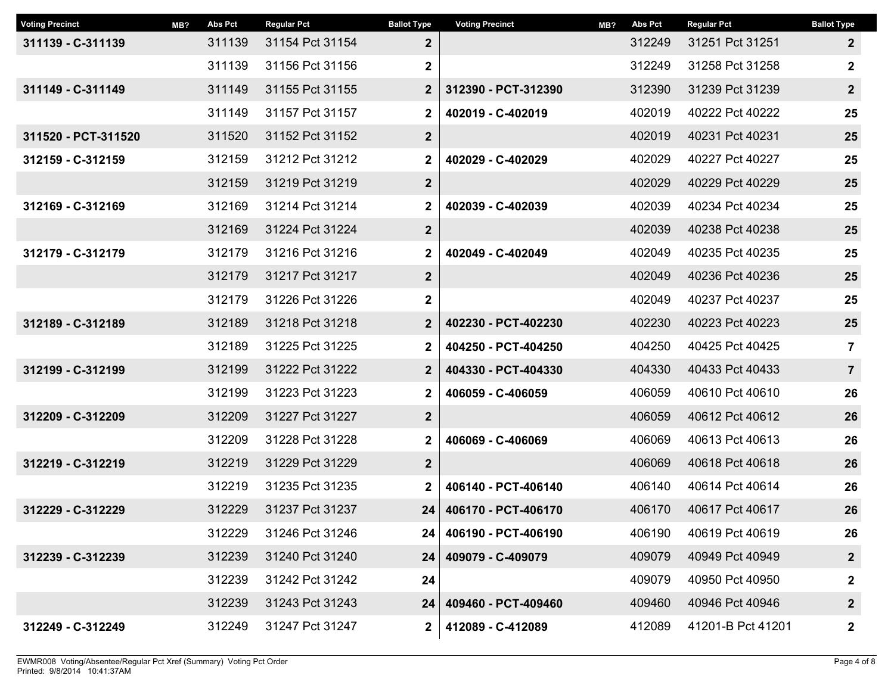| MB? | <b>Abs Pct</b> | <b>Regular Pct</b> | <b>Ballot Type</b> | <b>Voting Precinct</b> | MB? | <b>Abs Pct</b> | <b>Regular Pct</b> | <b>Ballot Type</b> |
|-----|----------------|--------------------|--------------------|------------------------|-----|----------------|--------------------|--------------------|
|     | 311139         | 31154 Pct 31154    | $\boldsymbol{2}$   |                        |     | 312249         | 31251 Pct 31251    | $\overline{2}$     |
|     | 311139         | 31156 Pct 31156    | $\mathbf 2$        |                        |     | 312249         | 31258 Pct 31258    | $\boldsymbol{2}$   |
|     | 311149         | 31155 Pct 31155    | $\mathbf{2}$       | 312390 - PCT-312390    |     | 312390         | 31239 Pct 31239    | $\mathbf{2}$       |
|     | 311149         | 31157 Pct 31157    | $\mathbf 2$        | 402019 - C-402019      |     | 402019         | 40222 Pct 40222    | 25                 |
|     | 311520         | 31152 Pct 31152    | $\boldsymbol{2}$   |                        |     | 402019         | 40231 Pct 40231    | 25                 |
|     | 312159         | 31212 Pct 31212    | $\mathbf 2$        | 402029 - C-402029      |     | 402029         | 40227 Pct 40227    | 25                 |
|     | 312159         | 31219 Pct 31219    | $\boldsymbol{2}$   |                        |     | 402029         | 40229 Pct 40229    | 25                 |
|     | 312169         | 31214 Pct 31214    | $\mathbf 2$        | 402039 - C-402039      |     | 402039         | 40234 Pct 40234    | 25                 |
|     | 312169         | 31224 Pct 31224    | $\boldsymbol{2}$   |                        |     | 402039         | 40238 Pct 40238    | 25                 |
|     | 312179         | 31216 Pct 31216    | $\mathbf 2$        | 402049 - C-402049      |     | 402049         | 40235 Pct 40235    | 25                 |
|     | 312179         | 31217 Pct 31217    | $\mathbf 2$        |                        |     | 402049         | 40236 Pct 40236    | 25                 |
|     | 312179         | 31226 Pct 31226    | $\mathbf 2$        |                        |     | 402049         | 40237 Pct 40237    | 25                 |
|     | 312189         | 31218 Pct 31218    | $\mathbf{2}$       | 402230 - PCT-402230    |     | 402230         | 40223 Pct 40223    | 25                 |
|     | 312189         | 31225 Pct 31225    | $\mathbf 2$        | 404250 - PCT-404250    |     | 404250         | 40425 Pct 40425    | $\overline{7}$     |
|     | 312199         | 31222 Pct 31222    | $\mathbf 2$        | 404330 - PCT-404330    |     | 404330         | 40433 Pct 40433    | $\overline{7}$     |
|     | 312199         | 31223 Pct 31223    | $\mathbf 2$        | 406059 - C-406059      |     | 406059         | 40610 Pct 40610    | 26                 |
|     | 312209         | 31227 Pct 31227    | $\boldsymbol{2}$   |                        |     | 406059         | 40612 Pct 40612    | 26                 |
|     | 312209         | 31228 Pct 31228    | $\mathbf 2$        | 406069 - C-406069      |     | 406069         | 40613 Pct 40613    | 26                 |
|     | 312219         | 31229 Pct 31229    | $\boldsymbol{2}$   |                        |     | 406069         | 40618 Pct 40618    | 26                 |
|     | 312219         | 31235 Pct 31235    | $\mathbf 2$        | 406140 - PCT-406140    |     | 406140         | 40614 Pct 40614    | 26                 |
|     | 312229         | 31237 Pct 31237    | 24                 | 406170 - PCT-406170    |     | 406170         | 40617 Pct 40617    | 26                 |
|     | 312229         | 31246 Pct 31246    | 24                 | 406190 - PCT-406190    |     | 406190         | 40619 Pct 40619    | 26                 |
|     | 312239         | 31240 Pct 31240    |                    | 409079 - C-409079      |     | 409079         | 40949 Pct 40949    | $\boldsymbol{2}$   |
|     | 312239         | 31242 Pct 31242    | 24                 |                        |     | 409079         | 40950 Pct 40950    | $\mathbf 2$        |
|     | 312239         | 31243 Pct 31243    | 24                 | 409460 - PCT-409460    |     | 409460         | 40946 Pct 40946    | $\boldsymbol{2}$   |
|     | 312249         | 31247 Pct 31247    | $\mathbf{2}$       | 412089 - C-412089      |     | 412089         | 41201-B Pct 41201  | $\mathbf{2}$       |
|     |                |                    |                    |                        | 24  |                |                    |                    |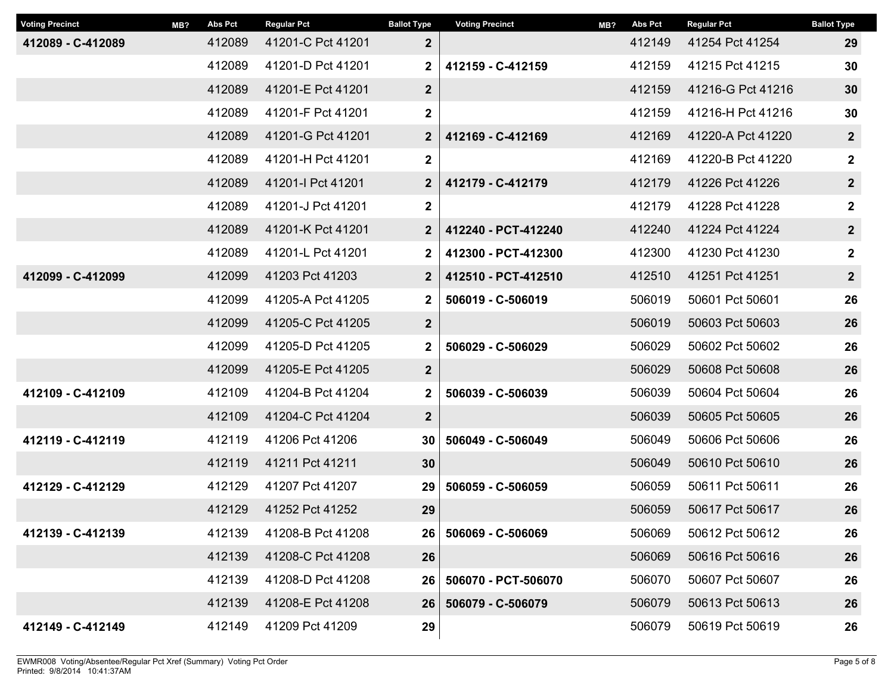| <b>Voting Precinct</b> | MB? | <b>Abs Pct</b> | <b>Regular Pct</b> | <b>Ballot Type</b> | <b>Voting Precinct</b> | MB? | <b>Abs Pct</b> | <b>Regular Pct</b> | <b>Ballot Type</b> |
|------------------------|-----|----------------|--------------------|--------------------|------------------------|-----|----------------|--------------------|--------------------|
| 412089 - C-412089      |     | 412089         | 41201-C Pct 41201  | $\mathbf{2}$       |                        |     | 412149         | 41254 Pct 41254    | 29                 |
|                        |     | 412089         | 41201-D Pct 41201  | $\mathbf 2$        | 412159 - C-412159      |     | 412159         | 41215 Pct 41215    | 30                 |
|                        |     | 412089         | 41201-E Pct 41201  | $\mathbf 2$        |                        |     | 412159         | 41216-G Pct 41216  | 30                 |
|                        |     | 412089         | 41201-F Pct 41201  | $\mathbf 2$        |                        |     | 412159         | 41216-H Pct 41216  | 30                 |
|                        |     | 412089         | 41201-G Pct 41201  | $\mathbf{2}$       | 412169 - C-412169      |     | 412169         | 41220-A Pct 41220  | $\boldsymbol{2}$   |
|                        |     | 412089         | 41201-H Pct 41201  | 2                  |                        |     | 412169         | 41220-B Pct 41220  | $\boldsymbol{2}$   |
|                        |     | 412089         | 41201-I Pct 41201  | $\mathbf{2}$       | 412179 - C-412179      |     | 412179         | 41226 Pct 41226    | $\mathbf{2}$       |
|                        |     | 412089         | 41201-J Pct 41201  | $\mathbf 2$        |                        |     | 412179         | 41228 Pct 41228    | $\mathbf 2$        |
|                        |     | 412089         | 41201-K Pct 41201  | $\overline{2}$     | 412240 - PCT-412240    |     | 412240         | 41224 Pct 41224    | $\boldsymbol{2}$   |
|                        |     | 412089         | 41201-L Pct 41201  | 2                  | 412300 - PCT-412300    |     | 412300         | 41230 Pct 41230    | $\boldsymbol{2}$   |
| 412099 - C-412099      |     | 412099         | 41203 Pct 41203    | $\mathbf{2}$       | 412510 - PCT-412510    |     | 412510         | 41251 Pct 41251    | $\mathbf{2}$       |
|                        |     | 412099         | 41205-A Pct 41205  | $\mathbf 2$        | 506019 - C-506019      |     | 506019         | 50601 Pct 50601    | 26                 |
|                        |     | 412099         | 41205-C Pct 41205  | $\mathbf 2$        |                        |     | 506019         | 50603 Pct 50603    | 26                 |
|                        |     | 412099         | 41205-D Pct 41205  | $\mathbf 2$        | 506029 - C-506029      |     | 506029         | 50602 Pct 50602    | 26                 |
|                        |     | 412099         | 41205-E Pct 41205  | $\boldsymbol{2}$   |                        |     | 506029         | 50608 Pct 50608    | 26                 |
| 412109 - C-412109      |     | 412109         | 41204-B Pct 41204  | $\mathbf 2$        | 506039 - C-506039      |     | 506039         | 50604 Pct 50604    | 26                 |
|                        |     | 412109         | 41204-C Pct 41204  | $\boldsymbol{2}$   |                        |     | 506039         | 50605 Pct 50605    | 26                 |
| 412119 - C-412119      |     | 412119         | 41206 Pct 41206    | 30                 | 506049 - C-506049      |     | 506049         | 50606 Pct 50606    | 26                 |
|                        |     | 412119         | 41211 Pct 41211    | 30 <sub>o</sub>    |                        |     | 506049         | 50610 Pct 50610    | 26                 |
| 412129 - C-412129      |     | 412129         | 41207 Pct 41207    | 29                 | 506059 - C-506059      |     | 506059         | 50611 Pct 50611    | 26                 |
|                        |     | 412129         | 41252 Pct 41252    | 29                 |                        |     | 506059         | 50617 Pct 50617    | 26                 |
| 412139 - C-412139      |     | 412139         | 41208-B Pct 41208  | 26                 | 506069 - C-506069      |     | 506069         | 50612 Pct 50612    | 26                 |
|                        |     | 412139         | 41208-C Pct 41208  | 26                 |                        |     | 506069         | 50616 Pct 50616    | 26                 |
|                        |     | 412139         | 41208-D Pct 41208  | 26                 | 506070 - PCT-506070    |     | 506070         | 50607 Pct 50607    | 26                 |
|                        |     | 412139         | 41208-E Pct 41208  | 26                 | 506079 - C-506079      |     | 506079         | 50613 Pct 50613    | 26                 |
| 412149 - C-412149      |     | 412149         | 41209 Pct 41209    | 29                 |                        |     | 506079         | 50619 Pct 50619    | 26                 |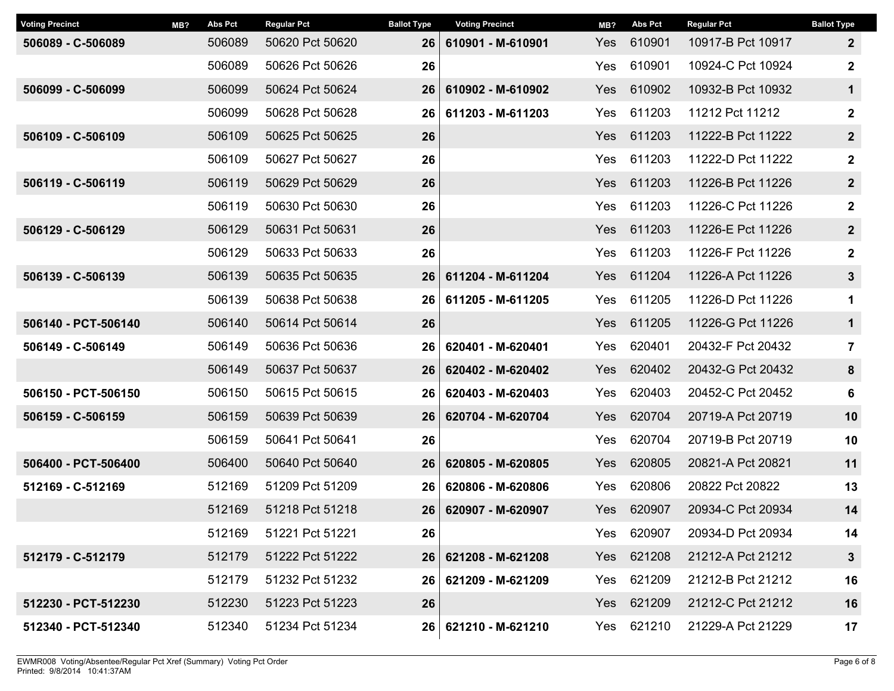| <b>Voting Precinct</b> | MB? | Abs Pct | <b>Regular Pct</b> | <b>Ballot Type</b> | <b>Voting Precinct</b> | MB?           | Abs Pct    | <b>Regular Pct</b> | <b>Ballot Type</b> |
|------------------------|-----|---------|--------------------|--------------------|------------------------|---------------|------------|--------------------|--------------------|
| 506089 - C-506089      |     | 506089  | 50620 Pct 50620    | 26                 | 610901 - M-610901      | Yes           | 610901     | 10917-B Pct 10917  | $\overline{2}$     |
|                        |     | 506089  | 50626 Pct 50626    | 26                 |                        | 610901<br>Yes |            | 10924-C Pct 10924  | $\mathbf 2$        |
| 506099 - C-506099      |     | 506099  | 50624 Pct 50624    | 26                 | 610902 - M-610902      | Yes           | 610902     | 10932-B Pct 10932  | $\mathbf 1$        |
|                        |     | 506099  | 50628 Pct 50628    | 26                 | 611203 - M-611203      | Yes           | 611203     | 11212 Pct 11212    | $\mathbf 2$        |
| 506109 - C-506109      |     | 506109  | 50625 Pct 50625    | 26                 |                        | <b>Yes</b>    | 611203     | 11222-B Pct 11222  | $\boldsymbol{2}$   |
|                        |     | 506109  | 50627 Pct 50627    | 26                 |                        | Yes           | 611203     | 11222-D Pct 11222  | $\mathbf 2$        |
| 506119 - C-506119      |     | 506119  | 50629 Pct 50629    | 26                 |                        | Yes           | 611203     | 11226-B Pct 11226  | $\boldsymbol{2}$   |
|                        |     | 506119  | 50630 Pct 50630    | 26                 |                        | Yes           | 611203     | 11226-C Pct 11226  | $\mathbf 2$        |
| 506129 - C-506129      |     | 506129  | 50631 Pct 50631    | 26                 |                        | Yes           | 611203     | 11226-E Pct 11226  | $\boldsymbol{2}$   |
|                        |     | 506129  | 50633 Pct 50633    | 26                 |                        | Yes           | 611203     | 11226-F Pct 11226  | $\mathbf{2}$       |
| 506139 - C-506139      |     | 506139  | 50635 Pct 50635    | 26                 | 611204 - M-611204      | Yes           | 611204     | 11226-A Pct 11226  | $\mathbf{3}$       |
|                        |     | 506139  | 50638 Pct 50638    | 26                 | 611205 - M-611205      | 611205<br>Yes |            | 11226-D Pct 11226  | 1                  |
| 506140 - PCT-506140    |     | 506140  | 50614 Pct 50614    | 26                 |                        | Yes           | 611205     | 11226-G Pct 11226  | $\mathbf 1$        |
| 506149 - C-506149      |     | 506149  | 50636 Pct 50636    | 26                 | 620401 - M-620401      | Yes           | 620401     | 20432-F Pct 20432  | $\overline{7}$     |
|                        |     | 506149  | 50637 Pct 50637    | 26                 | 620402 - M-620402      | <b>Yes</b>    | 620402     | 20432-G Pct 20432  | 8                  |
| 506150 - PCT-506150    |     | 506150  | 50615 Pct 50615    | 26                 | 620403 - M-620403      | Yes           | 620403     | 20452-C Pct 20452  | 6                  |
| 506159 - C-506159      |     | 506159  | 50639 Pct 50639    | 26                 | 620704 - M-620704      | Yes           | 620704     | 20719-A Pct 20719  | 10                 |
|                        |     | 506159  | 50641 Pct 50641    | 26                 |                        | Yes           | 620704     | 20719-B Pct 20719  | 10                 |
| 506400 - PCT-506400    |     | 506400  | 50640 Pct 50640    | 26                 | 620805 - M-620805      | Yes           | 620805     | 20821-A Pct 20821  | 11                 |
| 512169 - C-512169      |     | 512169  | 51209 Pct 51209    | 26                 | 620806 - M-620806      | Yes           | 620806     | 20822 Pct 20822    | 13                 |
|                        |     | 512169  | 51218 Pct 51218    | 26                 | 620907 - M-620907      | Yes           | 620907     | 20934-C Pct 20934  | 14                 |
|                        |     | 512169  | 51221 Pct 51221    | 26                 |                        | Yes           | 620907     | 20934-D Pct 20934  | 14                 |
| 512179 - C-512179      |     | 512179  | 51222 Pct 51222    | 26                 | 621208 - M-621208      |               | Yes 621208 | 21212-A Pct 21212  | $\mathbf{3}$       |
|                        |     | 512179  | 51232 Pct 51232    | 26                 | 621209 - M-621209      | Yes           | 621209     | 21212-B Pct 21212  | 16                 |
| 512230 - PCT-512230    |     | 512230  | 51223 Pct 51223    | 26                 |                        |               | Yes 621209 | 21212-C Pct 21212  | 16                 |
| 512340 - PCT-512340    |     | 512340  | 51234 Pct 51234    |                    | 26 621210 - M-621210   | Yes           | 621210     | 21229-A Pct 21229  | 17                 |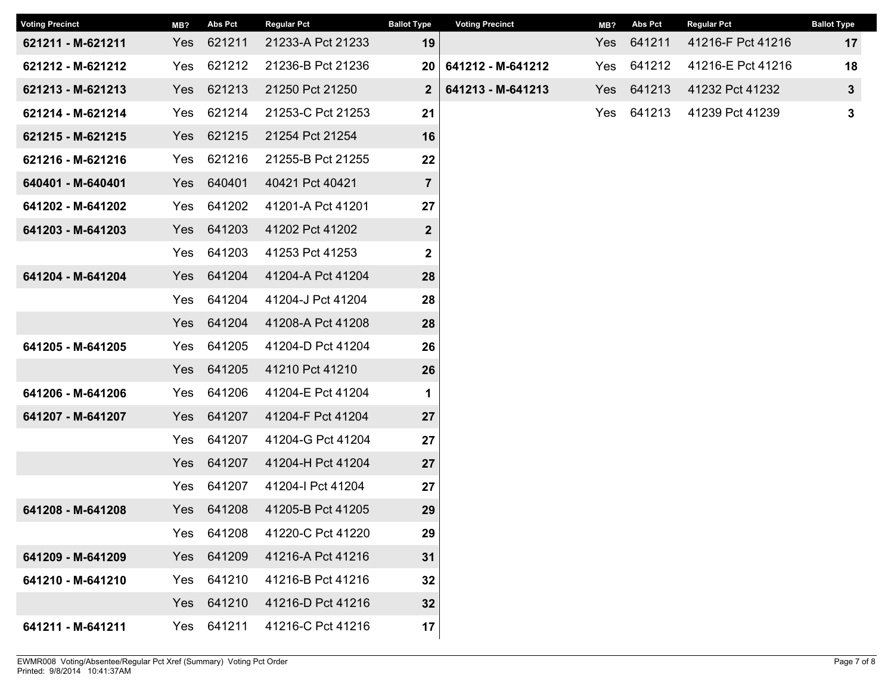| <b>Voting Precinct</b> | MB? | <b>Abs Pct</b> | <b>Regular Pct</b> | <b>Ballot Type</b> | <b>Voting Precinct</b> | MB? | <b>Abs Pct</b> | <b>Regular Pct</b> | <b>Ballot Type</b> |
|------------------------|-----|----------------|--------------------|--------------------|------------------------|-----|----------------|--------------------|--------------------|
| 621211 - M-621211      | Yes | 621211         | 21233-A Pct 21233  | 19                 |                        | Yes | 641211         | 41216-F Pct 41216  | 17                 |
| 621212 - M-621212      | Yes | 621212         | 21236-B Pct 21236  | 20                 | 641212 - M-641212      | Yes | 641212         | 41216-E Pct 41216  | 18                 |
| 621213 - M-621213      | Yes | 621213         | 21250 Pct 21250    | $\overline{2}$     | 641213 - M-641213      | Yes | 641213         | 41232 Pct 41232    | $\mathbf{3}$       |
| 621214 - M-621214      | Yes | 621214         | 21253-C Pct 21253  | 21                 |                        | Yes | 641213         | 41239 Pct 41239    | $\mathbf 3$        |
| 621215 - M-621215      | Yes | 621215         | 21254 Pct 21254    | 16                 |                        |     |                |                    |                    |
| 621216 - M-621216      | Yes | 621216         | 21255-B Pct 21255  | 22                 |                        |     |                |                    |                    |
| 640401 - M-640401      | Yes | 640401         | 40421 Pct 40421    | $\overline{7}$     |                        |     |                |                    |                    |
| 641202 - M-641202      | Yes | 641202         | 41201-A Pct 41201  | 27                 |                        |     |                |                    |                    |
| 641203 - M-641203      | Yes | 641203         | 41202 Pct 41202    | $\mathbf{2}$       |                        |     |                |                    |                    |
|                        | Yes | 641203         | 41253 Pct 41253    | $\mathbf 2$        |                        |     |                |                    |                    |
| 641204 - M-641204      | Yes | 641204         | 41204-A Pct 41204  | 28                 |                        |     |                |                    |                    |
|                        | Yes | 641204         | 41204-J Pct 41204  | 28                 |                        |     |                |                    |                    |
|                        | Yes | 641204         | 41208-A Pct 41208  | 28                 |                        |     |                |                    |                    |
| 641205 - M-641205      | Yes | 641205         | 41204-D Pct 41204  | 26                 |                        |     |                |                    |                    |
|                        | Yes | 641205         | 41210 Pct 41210    | 26                 |                        |     |                |                    |                    |
| 641206 - M-641206      | Yes | 641206         | 41204-E Pct 41204  | $\mathbf 1$        |                        |     |                |                    |                    |
| 641207 - M-641207      | Yes | 641207         | 41204-F Pct 41204  | 27                 |                        |     |                |                    |                    |
|                        | Yes | 641207         | 41204-G Pct 41204  | 27                 |                        |     |                |                    |                    |
|                        | Yes | 641207         | 41204-H Pct 41204  | 27                 |                        |     |                |                    |                    |
|                        | Yes | 641207         | 41204-I Pct 41204  | 27                 |                        |     |                |                    |                    |
| 641208 - M-641208      | Yes | 641208         | 41205-B Pct 41205  | 29                 |                        |     |                |                    |                    |
|                        | Yes | 641208         | 41220-C Pct 41220  | 29                 |                        |     |                |                    |                    |
| 641209 - M-641209      | Yes | 641209         | 41216-A Pct 41216  | 31                 |                        |     |                |                    |                    |
| 641210 - M-641210      | Yes | 641210         | 41216-B Pct 41216  | 32                 |                        |     |                |                    |                    |
|                        | Yes | 641210         | 41216-D Pct 41216  | 32                 |                        |     |                |                    |                    |
| 641211 - M-641211      | Yes | 641211         | 41216-C Pct 41216  | 17                 |                        |     |                |                    |                    |